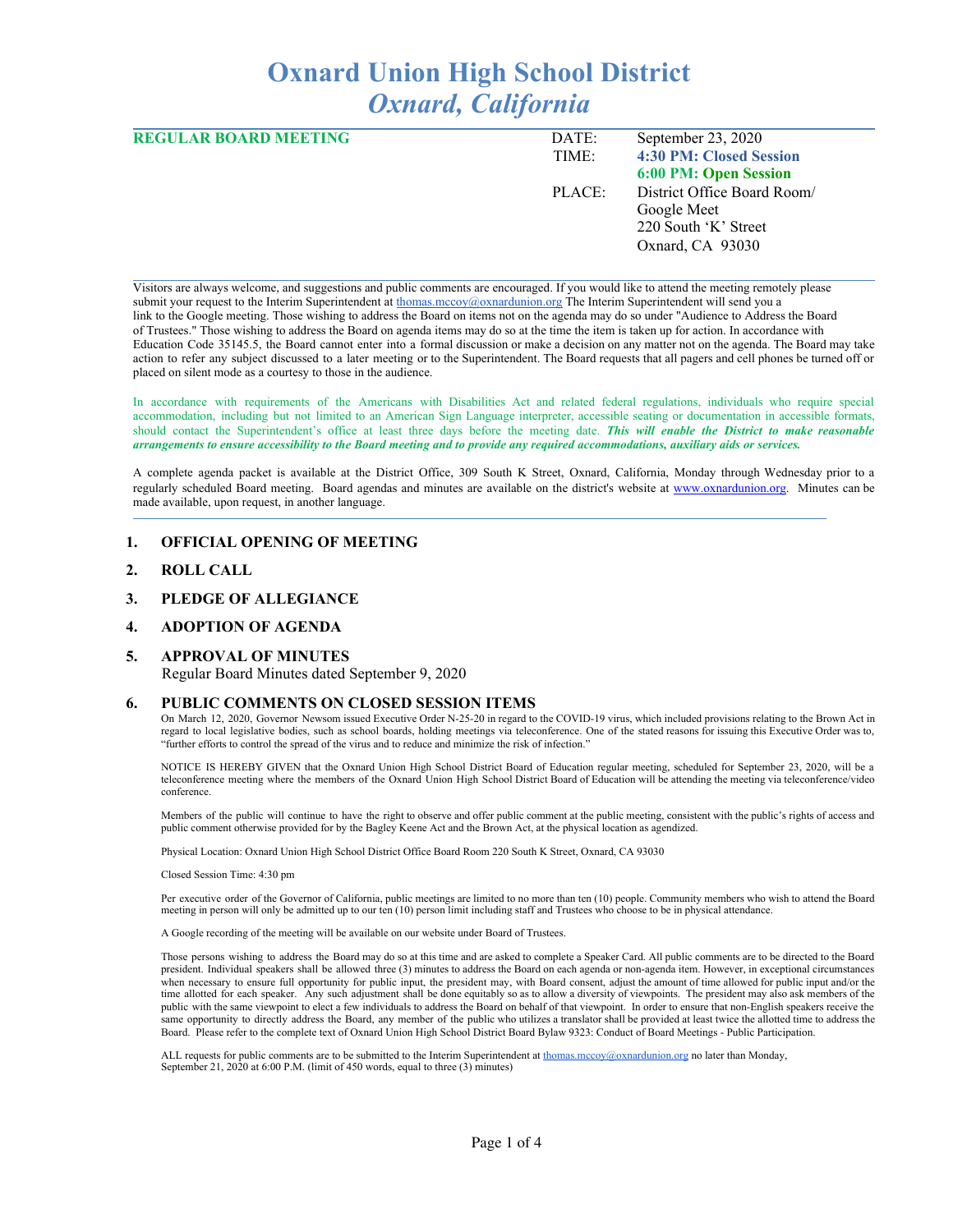# **Oxnard Union High School District** *Oxnard, California*

| <b>REGULAR BOARD MEETING</b> | DATE:  | September 23, 2020          |
|------------------------------|--------|-----------------------------|
|                              | TIME:  | 4:30 PM: Closed Session     |
|                              |        | 6:00 PM: Open Session       |
|                              | PLACE: | District Office Board Room/ |
|                              |        | Google Meet                 |
|                              |        | 220 South 'K' Street        |
|                              |        | Oxnard, CA 93030            |
|                              |        |                             |

Visitors are always welcome, and suggestions and public comments are encouraged. If you would like to attend the meeting remotely please submit your request to the Interim Superintendent at [thomas.mccoy@oxnardunion.org](mailto:thomas.mccoy@oxnardunion.org) The Interim Superintendent will send you a link to the Google meeting. Those wishing to address the Board on items not on the agenda may do so under "Audience to Address the Board of Trustees." Those wishing to address the Board on agenda items may do so at the time the item is taken up for action. In accordance with Education Code 35145.5, the Board cannot enter into a formal discussion or make a decision on any matter not on the agenda. The Board may take action to refer any subject discussed to a later meeting or to the Superintendent. The Board requests that all pagers and cell phones be turned off or placed on silent mode as a courtesy to those in the audience.

In accordance with requirements of the Americans with Disabilities Act and related federal regulations, individuals who require special accommodation, including but not limited to an American Sign Language interpreter, accessible seating or documentation in accessible formats, should contact the Superintendent's office at least three days before the meeting date. *This will enable the District to make reasonable* arrangements to ensure accessibility to the Board meeting and to provide any required accommodations, auxiliary aids or services.

A complete agenda packet is available at the District Office, 309 South K Street, Oxnard, California, Monday through Wednesday prior to a regularly scheduled Board meeting. Board agendas and minutes are available on the district's website at [www.o](http://www.o/)xnardunion.org. Minutes can be made available, upon request, in another language.

### **1. OFFICIAL OPENING OF MEETING**

- **2. ROLL CALL**
- **3. PLEDGE OF ALLEGIANCE**

#### **4. ADOPTION OF AGENDA**

#### **5. APPROVAL OF MINUTES**

Regular Board Minutes dated September 9, 2020

#### **6. PUBLIC COMMENTS ON CLOSED SESSION ITEMS**

On March 12, 2020, Governor Newsom issued Executive Order N-25-20 in regard to the COVID-19 virus, which included provisions relating to the Brown Act in regard to local legislative bodies, such as school boards, holding meetings via teleconference. One of the stated reasons for issuing this Executive Order was to, "further efforts to control the spread of the virus and to reduce and minimize the risk of infection."

NOTICE IS HEREBY GIVEN that the Oxnard Union High School District Board of Education regular meeting, scheduled for September 23, 2020, will be a teleconference meeting where the members of the Oxnard Union High School District Board of Education will be attending the meeting via teleconference/video conference.

Members of the public will continue to have the right to observe and offer public comment at the public meeting, consistent with the public's rights of access and public comment otherwise provided for by the Bagley Keene Act and the Brown Act, at the physical location as agendized.

Physical Location: Oxnard Union High School District Office Board Room 220 South K Street, Oxnard, CA 93030

Closed Session Time: 4:30 pm

Per executive order of the Governor of California, public meetings are limited to no more than ten (10) people. Community members who wish to attend the Board meeting in person will only be admitted up to our ten (10) person limit including staff and Trustees who choose to be in physical attendance.

A Google recording of the meeting will be available on our website under Board of Trustees.

Those persons wishing to address the Board may do so at this time and are asked to complete a Speaker Card. All public comments are to be directed to the Board president. Individual speakers shall be allowed three (3) minutes to address the Board on each agenda or non-agenda item. However, in exceptional circumstances when necessary to ensure full opportunity for public input, the president may, with Board consent, adjust the amount of time allowed for public input and/or the time allotted for each speaker. Any such adjustment shall be done equitably so as to allow a diversity of viewpoints. The president may also ask members of the public with the same viewpoint to elect a few individuals to address the Board on behalf of that viewpoint. In order to ensure that non-English speakers receive the same opportunity to directly address the Board, any member of the public who utilizes a translator shall be provided at least twice the allotted time to address the Board. Please refer to the complete text of Oxnard Union High School District Board Bylaw 9323: Conduct of Board Meetings - Public Participation.

ALL requests for public comments are to be submitted to the Interim Superintendent at [thomas.mccoy@oxnardunion.org](mailto:thomas.mccoy@oxnardunion.org) no later than Monday, September 21, 2020 at 6:00 P.M. (limit of 450 words, equal to three (3) minutes)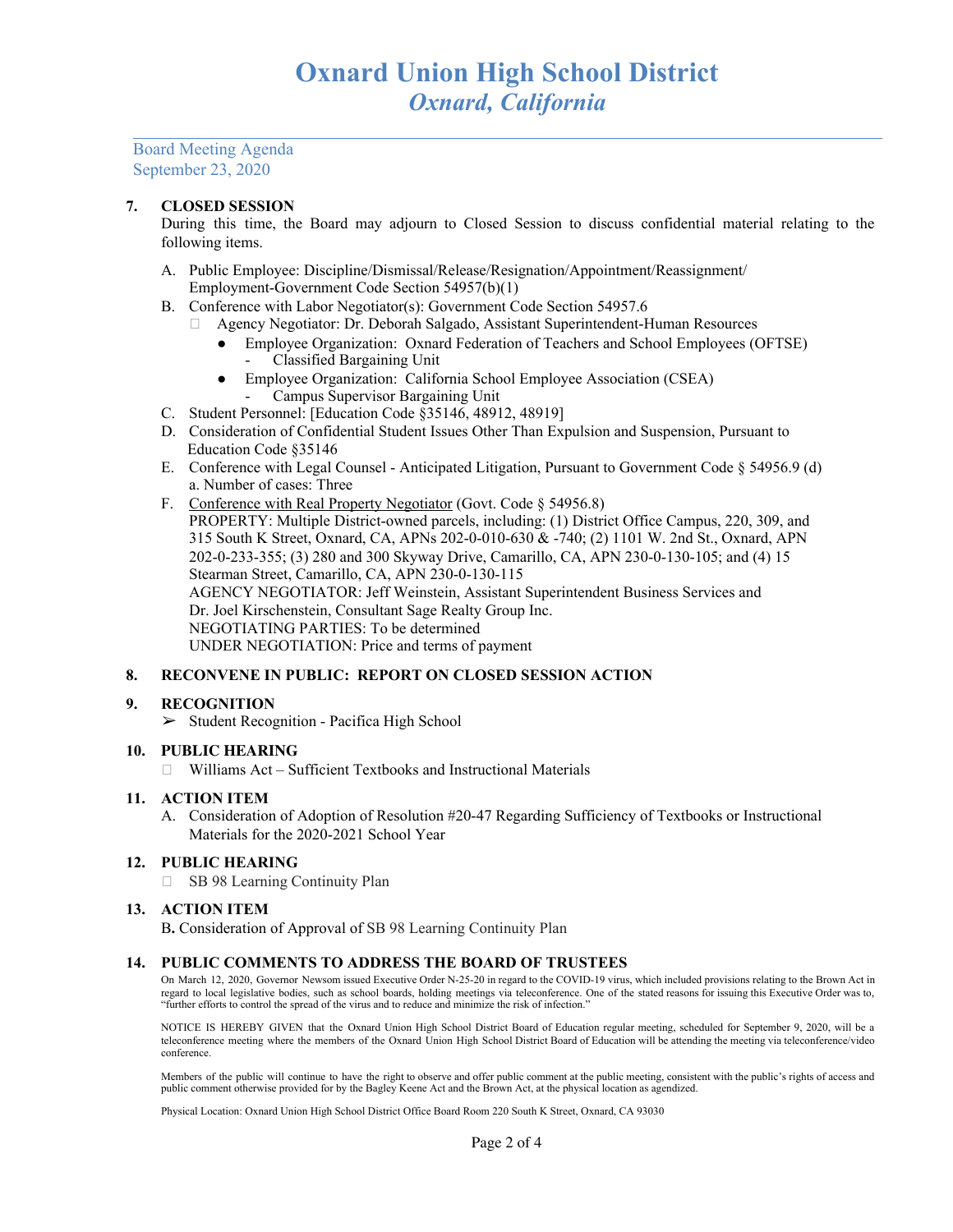Board Meeting Agenda September 23, 2020

# **7. CLOSED SESSION**

During this time, the Board may adjourn to Closed Session to discuss confidential material relating to the following items.

- A. Public Employee: Discipline/Dismissal/Release/Resignation/Appointment/Reassignment/ Employment-Government Code Section 54957(b)(1)
- B. Conference with Labor Negotiator(s): Government Code Section 54957.6
	- Agency Negotiator: Dr. Deborah Salgado, Assistant Superintendent-Human Resources
		- Employee Organization: Oxnard Federation of Teachers and School Employees (OFTSE) - Classified Bargaining Unit
		- Employee Organization: California School Employee Association (CSEA) - Campus Supervisor Bargaining Unit
- C. Student Personnel: [Education Code §35146, 48912, 48919]
- D. Consideration of Confidential Student Issues Other Than Expulsion and Suspension, Pursuant to Education Code §35146
- E. Conference with Legal Counsel Anticipated Litigation, Pursuant to Government Code § 54956.9 (d) a. Number of cases: Three
- F. Conference with Real Property Negotiator (Govt. Code § 54956.8) PROPERTY: Multiple District-owned parcels, including: (1) District Office Campus, 220, 309, and 315 South K Street, Oxnard, CA, APNs 202-0-010-630 & -740; (2) 1101 W. 2nd St., Oxnard, APN 202-0-233-355; (3) 280 and 300 Skyway Drive, Camarillo, CA, APN 230-0-130-105; and (4) 15 Stearman Street, Camarillo, CA, APN 230-0-130-115 AGENCY NEGOTIATOR: Jeff Weinstein, Assistant Superintendent Business Services and Dr. Joel Kirschenstein, Consultant Sage Realty Group Inc. NEGOTIATING PARTIES: To be determined UNDER NEGOTIATION: Price and terms of payment

# **8. RECONVENE IN PUBLIC: REPORT ON CLOSED SESSION ACTION**

### **9. RECOGNITION**

➢ Student Recognition - Pacifica High School

## **10. PUBLIC HEARING**

Williams Act – Sufficient Textbooks and Instructional Materials

## **11. ACTION ITEM**

A. Consideration of Adoption of Resolution #20-47 Regarding Sufficiency of Textbooks or Instructional Materials for the 2020-2021 School Year

# **12. PUBLIC HEARING**

□ SB 98 Learning Continuity Plan

### **13. ACTION ITEM**

B**.** Consideration of Approval of SB 98 Learning Continuity Plan

### **14. PUBLIC COMMENTS TO ADDRESS THE BOARD OF TRUSTEES**

On March 12, 2020, Governor Newsom issued Executive Order N-25-20 in regard to the COVID-19 virus, which included provisions relating to the Brown Act in regard to local legislative bodies, such as school boards, holding meetings via teleconference. One of the stated reasons for issuing this Executive Order was to, "further efforts to control the spread of the virus and to reduce and minimize the risk of infection."

NOTICE IS HEREBY GIVEN that the Oxnard Union High School District Board of Education regular meeting, scheduled for September 9, 2020, will be a teleconference meeting where the members of the Oxnard Union High School District Board of Education will be attending the meeting via teleconference/video conference.

Members of the public will continue to have the right to observe and offer public comment at the public meeting, consistent with the public's rights of access and public comment otherwise provided for by the Bagley Keene Act and the Brown Act, at the physical location as agendized.

Physical Location: Oxnard Union High School District Office Board Room 220 South K Street, Oxnard, CA 93030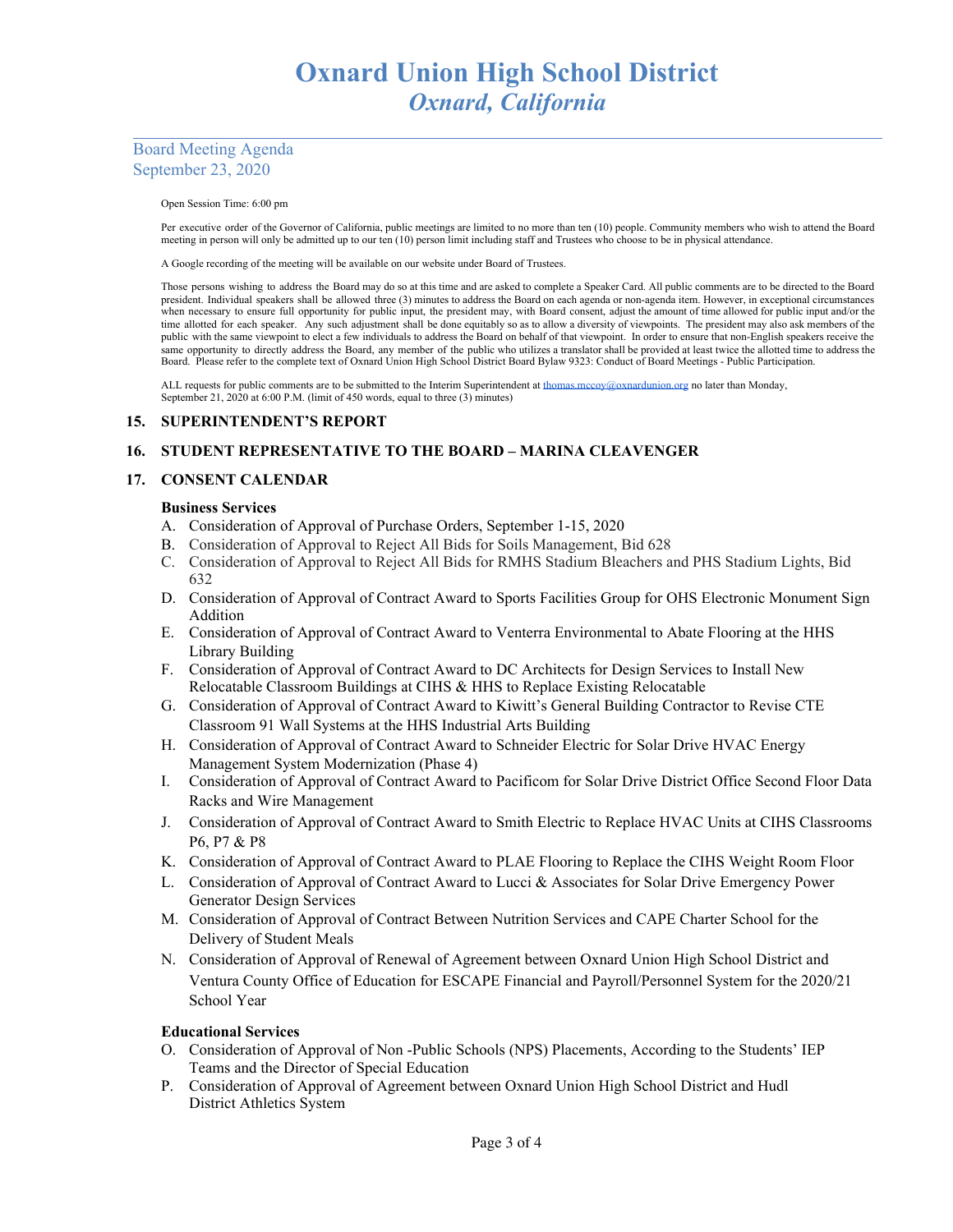# Board Meeting Agenda September 23, 2020

Open Session Time: 6:00 pm

Per executive order of the Governor of California, public meetings are limited to no more than ten (10) people. Community members who wish to attend the Board meeting in person will only be admitted up to our ten (10) person limit including staff and Trustees who choose to be in physical attendance.

A Google recording of the meeting will be available on our website under Board of Trustees.

Those persons wishing to address the Board may do so at this time and are asked to complete a Speaker Card. All public comments are to be directed to the Board president. Individual speakers shall be allowed three (3) minutes to address the Board on each agenda or non-agenda item. However, in exceptional circumstances when necessary to ensure full opportunity for public input, the president may, with Board consent, adjust the amount of time allowed for public input and/or the time allotted for each speaker. Any such adjustment shall be done equitably so as to allow a diversity of viewpoints. The president may also ask members of the public with the same viewpoint to elect a few individuals to address the Board on behalf of that viewpoint. In order to ensure that non-English speakers receive the same opportunity to directly address the Board, any member of the public who utilizes a translator shall be provided at least twice the allotted time to address the Board. Please refer to the complete text of Oxnard Union High School District Board Bylaw 9323: Conduct of Board Meetings - Public Participation.

ALL requests for public comments are to be submitted to the Interim Superintendent at [thomas.mccoy@oxnardunion.org](mailto:thomas.mccoy@oxnardunion.org) no later than Monday, September 21, 2020 at 6:00 P.M. (limit of 450 words, equal to three (3) minutes)

## **15. SUPERINTENDENT'S REPORT**

# **16. STUDENT REPRESENTATIVE TO THE BOARD – MARINA CLEAVENGER**

## **17. CONSENT CALENDAR**

## **Business Services**

- A. Consideration of Approval of Purchase Orders, September 1-15, 2020
- B. Consideration of Approval to Reject All Bids for Soils Management, Bid 628
- C. Consideration of Approval to Reject All Bids for RMHS Stadium Bleachers and PHS Stadium Lights, Bid 632
- D. Consideration of Approval of Contract Award to Sports Facilities Group for OHS Electronic Monument Sign Addition
- E. Consideration of Approval of Contract Award to Venterra Environmental to Abate Flooring at the HHS Library Building
- F. Consideration of Approval of Contract Award to DC Architects for Design Services to Install New Relocatable Classroom Buildings at CIHS & HHS to Replace Existing Relocatable
- G. Consideration of Approval of Contract Award to Kiwitt's General Building Contractor to Revise CTE Classroom 91 Wall Systems at the HHS Industrial Arts Building
- H. Consideration of Approval of Contract Award to Schneider Electric for Solar Drive HVAC Energy Management System Modernization (Phase 4)
- I. Consideration of Approval of Contract Award to Pacificom for Solar Drive District Office Second Floor Data Racks and Wire Management
- J. Consideration of Approval of Contract Award to Smith Electric to Replace HVAC Units at CIHS Classrooms P6, P7 & P8
- K. Consideration of Approval of Contract Award to PLAE Flooring to Replace the CIHS Weight Room Floor
- L. Consideration of Approval of Contract Award to Lucci & Associates for Solar Drive Emergency Power Generator Design Services
- M. Consideration of Approval of Contract Between Nutrition Services and CAPE Charter School for the Delivery of Student Meals
- N. Consideration of Approval of Renewal of Agreement between Oxnard Union High School District and Ventura County Office of Education for ESCAPE Financial and Payroll/Personnel System for the 2020/21 School Year

### **Educational Services**

- O. Consideration of Approval of Non -Public Schools (NPS) Placements, According to the Students' IEP Teams and the Director of Special Education
- P. Consideration of Approval of Agreement between Oxnard Union High School District and Hudl District Athletics System